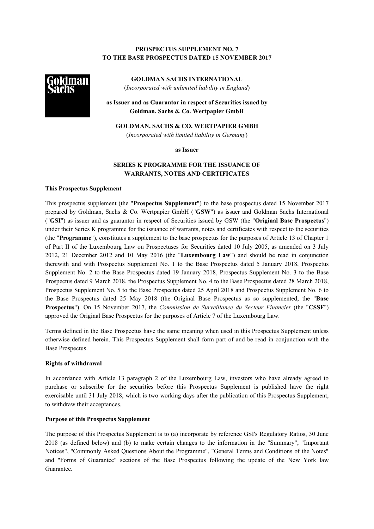## **PROSPECTUS SUPPLEMENT NO. 7 TO THE BASE PROSPECTUS DATED 15 NOVEMBER 2017**



**GOLDMAN SACHS INTERNATIONAL** (*Incorporated with unlimited liability in England*)

**as Issuer and as Guarantor in respect of Securities issued by Goldman, Sachs & Co. Wertpapier GmbH**

**GOLDMAN, SACHS & CO. WERTPAPIER GMBH**

(*Incorporated with limited liability in Germany*)

**as Issuer**

# **SERIES K PROGRAMME FOR THE ISSUANCE OF WARRANTS, NOTES AND CERTIFICATES**

## **This Prospectus Supplement**

This prospectus supplement (the "**Prospectus Supplement**") to the base prospectus dated 15 November 2017 prepared by Goldman, Sachs & Co. Wertpapier GmbH ("**GSW**") as issuer and Goldman Sachs International ("**GSI**") as issuer and as guarantor in respect of Securities issued by GSW (the "**Original Base Prospectus**") under their Series K programme for the issuance of warrants, notes and certificates with respect to the securities (the "**Programme**"), constitutes a supplement to the base prospectus for the purposes of Article 13 of Chapter 1 of Part II of the Luxembourg Law on Prospectuses for Securities dated 10 July 2005, as amended on 3 July 2012, 21 December 2012 and 10 May 2016 (the "**Luxembourg Law**") and should be read in conjunction therewith and with Prospectus Supplement No. 1 to the Base Prospectus dated 5 January 2018, Prospectus Supplement No. 2 to the Base Prospectus dated 19 January 2018, Prospectus Supplement No. 3 to the Base Prospectus dated 9 March 2018, the Prospectus Supplement No. 4 to the Base Prospectus dated 28 March 2018, Prospectus Supplement No. 5 to the Base Prospectus dated 25 April 2018 and Prospectus Supplement No. 6 to the Base Prospectus dated 25 May 2018 (the Original Base Prospectus as so supplemented, the "**Base Prospectus**"). On 15 November 2017, the *Commission de Surveillance du Secteur Financier* (the "**CSSF**") approved the Original Base Prospectus for the purposes of Article 7 of the Luxembourg Law.

Terms defined in the Base Prospectus have the same meaning when used in this Prospectus Supplement unless otherwise defined herein. This Prospectus Supplement shall form part of and be read in conjunction with the Base Prospectus.

## **Rights of withdrawal**

In accordance with Article 13 paragraph 2 of the Luxembourg Law, investors who have already agreed to purchase or subscribe for the securities before this Prospectus Supplement is published have the right exercisable until 31 July 2018, which is two working days after the publication of this Prospectus Supplement, to withdraw their acceptances.

## **Purpose of this Prospectus Supplement**

The purpose of this Prospectus Supplement is to (a) incorporate by reference GSI's Regulatory Ratios, 30 June 2018 (as defined below) and (b) to make certain changes to the information in the "Summary", "Important Notices", "Commonly Asked Questions About the Programme", "General Terms and Conditions of the Notes" and "Forms of Guarantee" sections of the Base Prospectus following the update of the New York law Guarantee.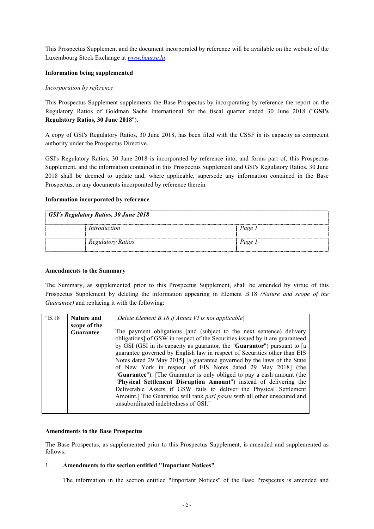This Prospectus Supplement and the document incorporated by reference will be available on the website of the Luxembourg Stock Exchange at *[www.bourse.lu](http://www.bourse.lu/)*.

## **Information being supplemented**

## *Incorporation by reference*

This Prospectus Supplement supplements the Base Prospectus by incorporating by reference the report on the Regulatory Ratios of Goldman Sachs International for the fiscal quarter ended 30 June 2018 ("**GSI's Regulatory Ratios, 30 June 2018**").

A copy of GSI's Regulatory Ratios, 30 June 2018, has been filed with the CSSF in its capacity as competent authority under the Prospectus Directive.

GSI's Regulatory Ratios, 30 June 2018 is incorporated by reference into, and forms part of, this Prospectus Supplement, and the information contained in this Prospectus Supplement and GSI's Regulatory Ratios, 30 June 2018 shall be deemed to update and, where applicable, supersede any information contained in the Base Prospectus, or any documents incorporated by reference therein.

## **Information incorporated by reference**

| <b>GSI's Regulatory Ratios, 30 June 2018</b> |                          |        |  |
|----------------------------------------------|--------------------------|--------|--|
|                                              | Introduction             | Page 1 |  |
|                                              | <b>Regulatory Ratios</b> | Page 1 |  |

## **Amendments to the Summary**

The Summary, as supplemented prior to this Prospectus Supplement, shall be amended by virtue of this Prospectus Supplement by deleting the information appearing in Element B.18 *(Nature and scope of the Guarantee)* and replacing it with the following:

| "B.18" | Nature and       | [Delete Element B.18 if Annex VI is not applicable]                          |  |
|--------|------------------|------------------------------------------------------------------------------|--|
|        | scope of the     |                                                                              |  |
|        | <b>Guarantee</b> | The payment obligations [and (subject to the next sentence) delivery         |  |
|        |                  | obligations] of GSW in respect of the Securities issued by it are guaranteed |  |
|        |                  | by GSI (GSI in its capacity as guarantor, the "Guarantor") pursuant to [a    |  |
|        |                  | guarantee governed by English law in respect of Securities other than EIS    |  |
|        |                  | Notes dated 29 May 2015] [a guarantee governed by the laws of the State      |  |
|        |                  | of New York in respect of EIS Notes dated 29 May 2018] (the                  |  |
|        |                  | "Guarantee"). [The Guarantor is only obliged to pay a cash amount (the       |  |
|        |                  | "Physical Settlement Disruption Amount") instead of delivering the           |  |
|        |                  | Deliverable Assets if GSW fails to deliver the Physical Settlement           |  |
|        |                  | Amount.] The Guarantee will rank pari passu with all other unsecured and     |  |
|        |                  | unsubordinated indebtedness of GSI."                                         |  |
|        |                  |                                                                              |  |

## **Amendments to the Base Prospectus**

The Base Prospectus, as supplemented prior to this Prospectus Supplement, is amended and supplemented as follows:

## 1. **Amendments to the section entitled "Important Notices"**

The information in the section entitled "Important Notices" of the Base Prospectus is amended and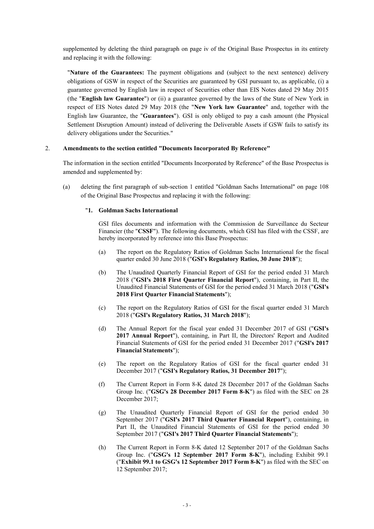supplemented by deleting the third paragraph on page iv of the Original Base Prospectus in its entirety and replacing it with the following:

"**Nature of the Guarantees:** The payment obligations and (subject to the next sentence) delivery obligations of GSW in respect of the Securities are guaranteed by GSI pursuant to, as applicable, (i) a guarantee governed by English law in respect of Securities other than EIS Notes dated 29 May 2015 (the "**English law Guarantee**") or (ii) a guarantee governed by the laws of the State of New York in respect of EIS Notes dated 29 May 2018 (the "**New York law Guarantee**" and, together with the English law Guarantee, the "**Guarantees**"). GSI is only obliged to pay a cash amount (the Physical Settlement Disruption Amount) instead of delivering the Deliverable Assets if GSW fails to satisfy its delivery obligations under the Securities."

## 2. **Amendments to the section entitled "Documents Incorporated By Reference"**

The information in the section entitled "Documents Incorporated by Reference" of the Base Prospectus is amended and supplemented by:

(a) deleting the first paragraph of sub-section 1 entitled "Goldman Sachs International" on page 108 of the Original Base Prospectus and replacing it with the following:

## "**1. Goldman Sachs International**

GSI files documents and information with the Commission de Surveillance du Secteur Financier (the "**CSSF**"). The following documents, which GSI has filed with the CSSF, are hereby incorporated by reference into this Base Prospectus:

- (a) The report on the Regulatory Ratios of Goldman Sachs International for the fiscal quarter ended 30 June 2018 ("**GSI's Regulatory Ratios, 30 June 2018**");
- (b) The Unaudited Quarterly Financial Report of GSI for the period ended 31 March 2018 ("**GSI's 2018 First Quarter Financial Report**"), containing, in Part II, the Unaudited Financial Statements of GSI for the period ended 31 March 2018 ("**GSI's 2018 First Quarter Financial Statements**");
- (c) The report on the Regulatory Ratios of GSI for the fiscal quarter ended 31 March 2018 ("**GSI's Regulatory Ratios, 31 March 2018**");
- (d) The Annual Report for the fiscal year ended 31 December 2017 of GSI ("**GSI's 2017 Annual Report**"), containing, in Part II, the Directors' Report and Audited Financial Statements of GSI for the period ended 31 December 2017 ("**GSI's 2017 Financial Statements**");
- (e) The report on the Regulatory Ratios of GSI for the fiscal quarter ended 31 December 2017 ("**GSI's Regulatory Ratios, 31 December 2017**");
- (f) The Current Report in Form 8-K dated 28 December 2017 of the Goldman Sachs Group Inc. ("**GSG's 28 December 2017 Form 8-K**") as filed with the SEC on 28 December 2017;
- (g) The Unaudited Quarterly Financial Report of GSI for the period ended 30 September 2017 ("**GSI's 2017 Third Quarter Financial Report**"), containing, in Part II, the Unaudited Financial Statements of GSI for the period ended 30 September 2017 ("**GSI's 2017 Third Quarter Financial Statements**");
- (h) The Current Report in Form 8-K dated 12 September 2017 of the Goldman Sachs Group Inc. ("**GSG's 12 September 2017 Form 8-K**"), including Exhibit 99.1 ("**Exhibit 99.1 to GSG's 12 September 2017 Form 8-K**") as filed with the SEC on 12 September 2017;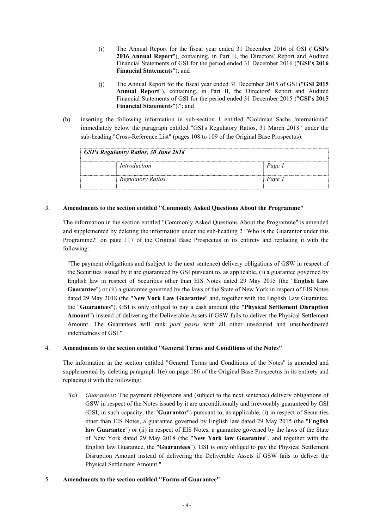- (i) The Annual Report for the fiscal year ended 31 December 2016 of GSI ("**GSI's 2016 Annual Report**"), containing, in Part II, the Directors' Report and Audited Financial Statements of GSI for the period ended 31 December 2016 ("**GSI's 2016 Financial Statements**"); and
- (j) The Annual Report for the fiscal year ended 31 December 2015 of GSI ("**GSI 2015 Annual Report**"), containing, in Part II, the Directors' Report and Audited Financial Statements of GSI for the period ended 31 December 2015 ("**GSI's 2015 Financial Statements**")."; and
- (b) inserting the following information in sub-section 1 entitled "Goldman Sachs International" immediately below the paragraph entitled "GSI's Regulatory Ratios, 31 March 2018" under the sub-heading "Cross-Reference List" (pages 108 to 109 of the Original Base Prospectus):

| GSI's Regulatory Ratios, 30 June 2018 |                          |        |  |
|---------------------------------------|--------------------------|--------|--|
|                                       | Introduction             | Page 1 |  |
|                                       | <b>Regulatory Ratios</b> | Page 1 |  |

## 3. **Amendments to the section entitled "Commonly Asked Questions About the Programme"**

The information in the section entitled "Commonly Asked Questions About the Programme" is amended and supplemented by deleting the information under the sub-heading 2 "Who is the Guarantor under this Programme?" on page 117 of the Original Base Prospectus in its entirety and replacing it with the following:

"The payment obligations and (subject to the next sentence) delivery obligations of GSW in respect of the Securities issued by it are guaranteed by GSI pursuant to, as applicable, (i) a guarantee governed by English law in respect of Securities other than EIS Notes dated 29 May 2015 (the "**English Law Guarantee**") or (ii) a guarantee governed by the laws of the State of New York in respect of EIS Notes dated 29 May 2018 (the "**New York Law Guarantee**" and, together with the English Law Guarantee, the "**Guarantees**"). GSI is only obliged to pay a cash amount (the "**Physical Settlement Disruption Amount**") instead of delivering the Deliverable Assets if GSW fails to deliver the Physical Settlement Amount. The Guarantees will rank *pari passu* with all other unsecured and unsubordinated indebtedness of GSI."

## 4. **Amendments to the section entitled "General Terms and Conditions of the Notes"**

The information in the section entitled "General Terms and Conditions of the Notes" is amended and supplemented by deleting paragraph 1(e) on page 186 of the Original Base Prospectus in its entirety and replacing it with the following:

"(e) *Guarantees*: The payment obligations and (subject to the next sentence) delivery obligations of GSW in respect of the Notes issued by it are unconditionally and irrevocably guaranteed by GSI (GSI, in such capacity, the "**Guarantor**") pursuant to, as applicable, (i) in respect of Securities other than EIS Notes, a guarantee governed by English law dated 29 May 2015 (the "**English law Guarantee**") or (ii) in respect of EIS Notes, a guarantee governed by the laws of the State of New York dated 29 May 2018 (the "**New York law Guarantee**", and together with the English law Guarantee, the "**Guarantees**"). GSI is only obliged to pay the Physical Settlement Disruption Amount instead of delivering the Deliverable Assets if GSW fails to deliver the Physical Settlement Amount."

## 5. **Amendments to the section entitled "Forms of Guarantee"**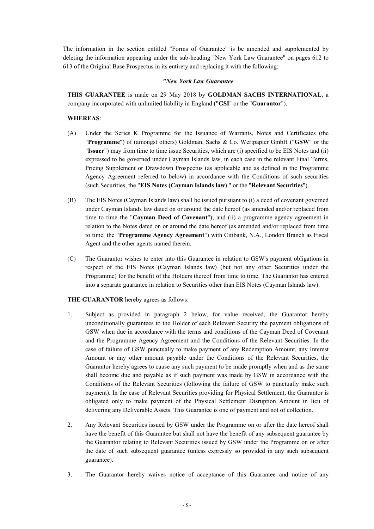The information in the section entitled "Forms of Guarantee" is be amended and supplemented by deleting the information appearing under the sub-heading "New York Law Guarantee" on pages 612 to 613 of the Original Base Prospectus in its entirety and replacing it with the following:

### *"New York Law Guarantee*

**THIS GUARANTEE** is made on 29 May 2018 by **GOLDMAN SACHS INTERNATIONAL**, a company incorporated with unlimited liability in England ("**GSI**" or the "**Guarantor**").

### **WHEREAS**:

- (A) Under the Series K Programme for the Issuance of Warrants, Notes and Certificates (the "**Programme**") of (amongst others) Goldman, Sachs & Co. Wertpapier GmbH ("**GSW**" or the "**Issuer**") may from time to time issue Securities, which are (i) specified to be EIS Notes and (ii) expressed to be governed under Cayman Islands law, in each case in the relevant Final Terms, Pricing Supplement or Drawdown Prospectus (as applicable and as defined in the Programme Agency Agreement referred to below) in accordance with the Conditions of such securities (such Securities, the "**EIS Notes (Cayman Islands law)** " or the "**Relevant Securities**").
- (B) The EIS Notes (Cayman Islands law) shall be issued pursuant to (i) a deed of covenant governed under Cayman Islands law dated on or around the date hereof (as amended and/or replaced from time to time the "**Cayman Deed of Covenant**"); and (ii) a programme agency agreement in relation to the Notes dated on or around the date hereof (as amended and/or replaced from time to time, the "**Programme Agency Agreement**") with Citibank, N.A., London Branch as Fiscal Agent and the other agents named therein.
- (C) The Guarantor wishes to enter into this Guarantee in relation to GSW's payment obligations in respect of the EIS Notes (Cayman Islands law) (but not any other Securities under the Programme) for the benefit of the Holders thereof from time to time. The Guarantor has entered into a separate guarantee in relation to Securities other than EIS Notes (Cayman Islands law).

## **THE GUARANTOR** hereby agrees as follows:

- 1. Subject as provided in paragraph 2 below, for value received, the Guarantor hereby unconditionally guarantees to the Holder of each Relevant Security the payment obligations of GSW when due in accordance with the terms and conditions of the Cayman Deed of Covenant and the Programme Agency Agreement and the Conditions of the Relevant Securities. In the case of failure of GSW punctually to make payment of any Redemption Amount, any Interest Amount or any other amount payable under the Conditions of the Relevant Securities, the Guarantor hereby agrees to cause any such payment to be made promptly when and as the same shall become due and payable as if such payment was made by GSW in accordance with the Conditions of the Relevant Securities (following the failure of GSW to punctually make such payment). In the case of Relevant Securities providing for Physical Settlement, the Guarantor is obligated only to make payment of the Physical Settlement Disruption Amount in lieu of delivering any Deliverable Assets. This Guarantee is one of payment and not of collection.
- 2. Any Relevant Securities issued by GSW under the Programme on or after the date hereof shall have the benefit of this Guarantee but shall not have the benefit of any subsequent guarantee by the Guarantor relating to Relevant Securities issued by GSW under the Programme on or after the date of such subsequent guarantee (unless expressly so provided in any such subsequent guarantee).
- 3. The Guarantor hereby waives notice of acceptance of this Guarantee and notice of any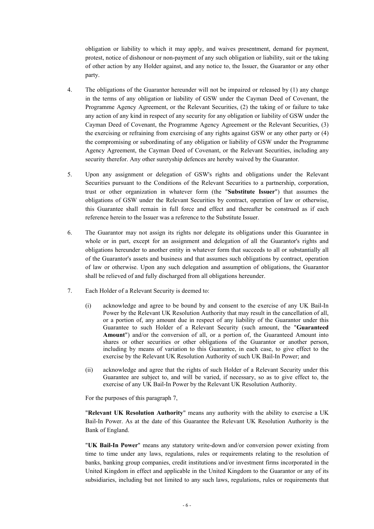obligation or liability to which it may apply, and waives presentment, demand for payment, protest, notice of dishonour or non-payment of any such obligation or liability, suit or the taking of other action by any Holder against, and any notice to, the Issuer, the Guarantor or any other party.

- 4. The obligations of the Guarantor hereunder will not be impaired or released by (1) any change in the terms of any obligation or liability of GSW under the Cayman Deed of Covenant, the Programme Agency Agreement, or the Relevant Securities, (2) the taking of or failure to take any action of any kind in respect of any security for any obligation or liability of GSW under the Cayman Deed of Covenant, the Programme Agency Agreement or the Relevant Securities, (3) the exercising or refraining from exercising of any rights against GSW or any other party or (4) the compromising or subordinating of any obligation or liability of GSW under the Programme Agency Agreement, the Cayman Deed of Covenant, or the Relevant Securities, including any security therefor. Any other suretyship defences are hereby waived by the Guarantor.
- 5. Upon any assignment or delegation of GSW's rights and obligations under the Relevant Securities pursuant to the Conditions of the Relevant Securities to a partnership, corporation, trust or other organization in whatever form (the "**Substitute Issuer**") that assumes the obligations of GSW under the Relevant Securities by contract, operation of law or otherwise, this Guarantee shall remain in full force and effect and thereafter be construed as if each reference herein to the Issuer was a reference to the Substitute Issuer.
- 6. The Guarantor may not assign its rights nor delegate its obligations under this Guarantee in whole or in part, except for an assignment and delegation of all the Guarantor's rights and obligations hereunder to another entity in whatever form that succeeds to all or substantially all of the Guarantor's assets and business and that assumes such obligations by contract, operation of law or otherwise. Upon any such delegation and assumption of obligations, the Guarantor shall be relieved of and fully discharged from all obligations hereunder.
- 7. Each Holder of a Relevant Security is deemed to:
	- (i) acknowledge and agree to be bound by and consent to the exercise of any UK Bail-In Power by the Relevant UK Resolution Authority that may result in the cancellation of all, or a portion of, any amount due in respect of any liability of the Guarantor under this Guarantee to such Holder of a Relevant Security (such amount, the "**Guaranteed Amount**") and/or the conversion of all, or a portion of, the Guaranteed Amount into shares or other securities or other obligations of the Guarantor or another person, including by means of variation to this Guarantee, in each case, to give effect to the exercise by the Relevant UK Resolution Authority of such UK Bail-In Power; and
	- (ii) acknowledge and agree that the rights of such Holder of a Relevant Security under this Guarantee are subject to, and will be varied, if necessary, so as to give effect to, the exercise of any UK Bail-In Power by the Relevant UK Resolution Authority.

For the purposes of this paragraph 7,

"**Relevant UK Resolution Authority**" means any authority with the ability to exercise a UK Bail-In Power. As at the date of this Guarantee the Relevant UK Resolution Authority is the Bank of England.

"**UK Bail-In Power**" means any statutory write-down and/or conversion power existing from time to time under any laws, regulations, rules or requirements relating to the resolution of banks, banking group companies, credit institutions and/or investment firms incorporated in the United Kingdom in effect and applicable in the United Kingdom to the Guarantor or any of its subsidiaries, including but not limited to any such laws, regulations, rules or requirements that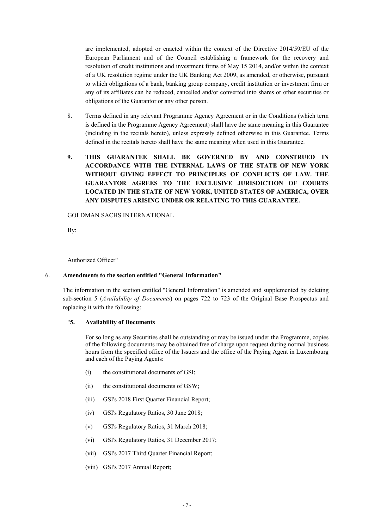are implemented, adopted or enacted within the context of the Directive 2014/59/EU of the European Parliament and of the Council establishing a framework for the recovery and resolution of credit institutions and investment firms of May 15 2014, and/or within the context of a UK resolution regime under the UK Banking Act 2009, as amended, or otherwise, pursuant to which obligations of a bank, banking group company, credit institution or investment firm or any of its affiliates can be reduced, cancelled and/or converted into shares or other securities or obligations of the Guarantor or any other person.

- 8. Terms defined in any relevant Programme Agency Agreement or in the Conditions (which term is defined in the Programme Agency Agreement) shall have the same meaning in this Guarantee (including in the recitals hereto), unless expressly defined otherwise in this Guarantee. Terms defined in the recitals hereto shall have the same meaning when used in this Guarantee.
- **9. THIS GUARANTEE SHALL BE GOVERNED BY AND CONSTRUED IN ACCORDANCE WITH THE INTERNAL LAWS OF THE STATE OF NEW YORK WITHOUT GIVING EFFECT TO PRINCIPLES OF CONFLICTS OF LAW. THE GUARANTOR AGREES TO THE EXCLUSIVE JURISDICTION OF COURTS LOCATED IN THE STATE OF NEW YORK, UNITED STATES OF AMERICA, OVER ANY DISPUTES ARISING UNDER OR RELATING TO THIS GUARANTEE.**

#### GOLDMAN SACHS INTERNATIONAL

By:

Authorized Officer"

## 6. **Amendments to the section entitled "General Information"**

The information in the section entitled "General Information" is amended and supplemented by deleting sub-section 5 (*Availability of Documents*) on pages 722 to 723 of the Original Base Prospectus and replacing it with the following:

## "**5. Availability of Documents**

For so long as any Securities shall be outstanding or may be issued under the Programme, copies of the following documents may be obtained free of charge upon request during normal business hours from the specified office of the Issuers and the office of the Paying Agent in Luxembourg and each of the Paying Agents:

- (i) the constitutional documents of GSI;
- (ii) the constitutional documents of GSW;
- (iii) GSI's 2018 First Quarter Financial Report;
- (iv) GSI's Regulatory Ratios, 30 June 2018;
- (v) GSI's Regulatory Ratios, 31 March 2018;
- (vi) GSI's Regulatory Ratios, 31 December 2017;
- (vii) GSI's 2017 Third Quarter Financial Report;
- (viii) GSI's 2017 Annual Report;